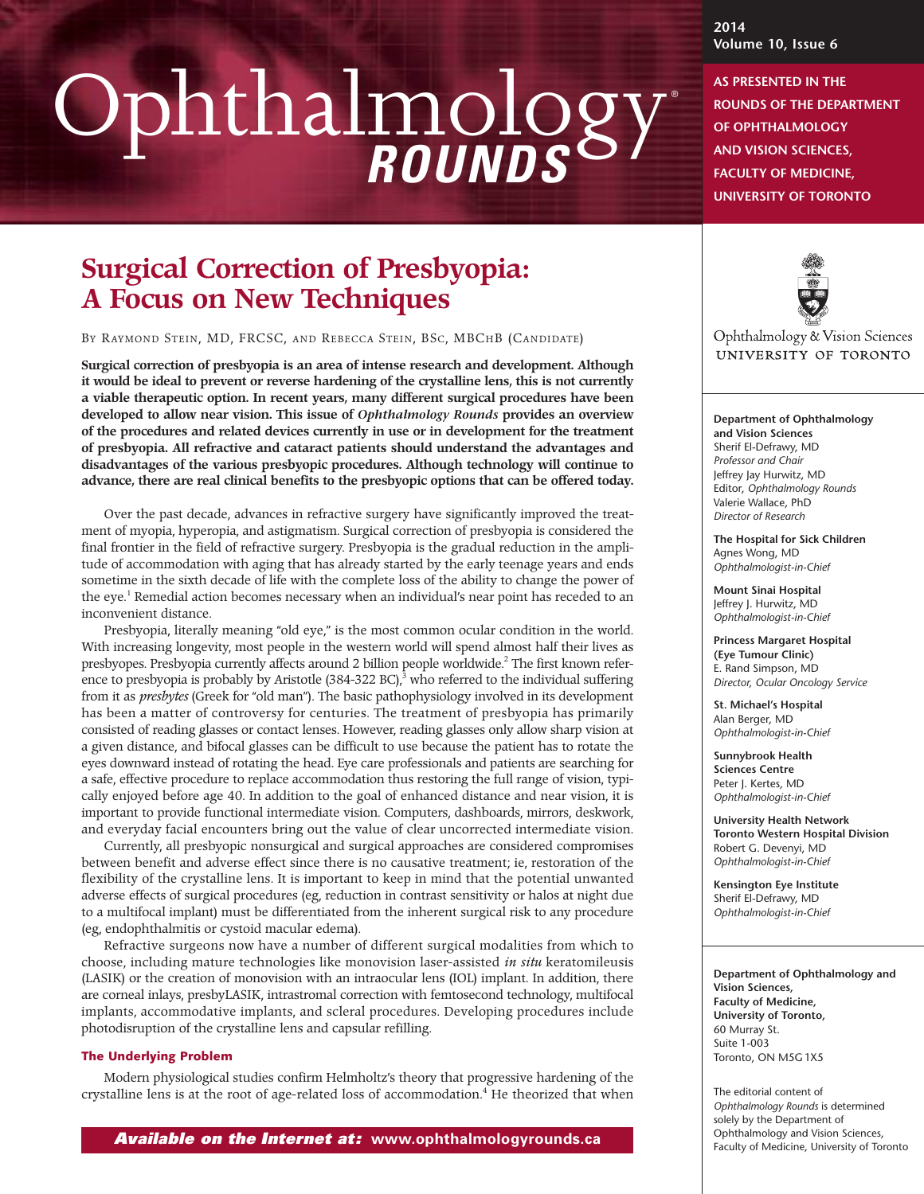# Ophthalmology *ROUNDS*

# **Surgical Correction of Presbyopia: A Focus on New Techniques**

BY RAYMOND STEIN, MD, FRCSC, AND REBECCA STEIN, BSC, MBCHB (CANDIDATE)

**Surgical correction of presbyopia is an area of intense research and development. Although it would be ideal to prevent or reverse hardening of the crystalline lens, this is not currently a viable therapeutic option. In recent years, many different surgical procedures have been developed to allow near vision. This issue of** *Ophthalmology Rounds* **provides an overview of the procedures and related devices currently in use or in development for the treatment of presbyopia. All refractive and cataract patients should understand the advantages and disadvantages of the various presbyopic procedures. Although technology will continue to advance, there are real clinical benefits to the presbyopic options that can be offered today.**

Over the past decade, advances in refractive surgery have significantly improved the treatment of myopia, hyperopia, and astigmatism. Surgical correction of presbyopia is considered the final frontier in the field of refractive surgery. Presbyopia is the gradual reduction in the amplitude of accommodation with aging that has already started by the early teenage years and ends sometime in the sixth decade of life with the complete loss of the ability to change the power of the eye.<sup>1</sup> Remedial action becomes necessary when an individual's near point has receded to an inconvenient distance.

Presbyopia, literally meaning "old eye," is the most common ocular condition in the world. With increasing longevity, most people in the western world will spend almost half their lives as presbyopes. Presbyopia currently affects around 2 billion people worldwide. <sup>2</sup> The first known reference to presbyopia is probably by Aristotle (384-322 BC),<sup>3</sup> who referred to the individual suffering from it as *presbytes* (Greek for "old man"). The basic pathophysiology involved in its development has been a matter of controversy for centuries. The treatment of presbyopia has primarily consisted of reading glasses or contact lenses. However, reading glasses only allow sharp vision at a given distance, and bifocal glasses can be difficult to use because the patient has to rotate the eyes downward instead of rotating the head. Eye care professionals and patients are searching for a safe, effective procedure to replace accommodation thus restoring the full range of vision, typically enjoyed before age 40. In addition to the goal of enhanced distance and near vision, it is important to provide functional intermediate vision. Computers, dashboards, mirrors, deskwork, and everyday facial encounters bring out the value of clear uncorrected intermediate vision.

Currently, all presbyopic nonsurgical and surgical approaches are considered compromises between benefit and adverse effect since there is no causative treatment; ie, restoration of the flexibility of the crystalline lens. It is important to keep in mind that the potential unwanted adverse effects of surgical procedures (eg, reduction in contrast sensitivity or halos at night due to a multifocal implant) must be differentiated from the inherent surgical risk to any procedure (eg, endophthalmitis or cystoid macular edema).

Refractive surgeons now have a number of different surgical modalities from which to choose, including mature technologies like monovision laser-assisted *in situ* keratomileusis (LASIK) or the creation of monovision with an intraocular lens (IOL) implant. In addition, there are corneal inlays, presbyLASIK, intrastromal correction with femtosecond technology, multifocal implants, accommodative implants, and scleral procedures. Developing procedures include photodisruption of the crystalline lens and capsular refilling.

#### **The Underlying Problem**

Modern physiological studies confirm Helmholtz's theory that progressive hardening of the crystalline lens is at the root of age-related loss of accommodation. <sup>4</sup> He theorized that when

*Available on the Internet at :* **www.ophthalmologyrounds.ca**

**2014 Volume 10, Issue 6**

®

### **AS PRESENTED IN THE ROUNDS OF THE DEPARTMENT OF OPHTHALMOLOGY AND VISION SCIENCES, FACULTY OF MEDICINE,**

**UNIVERSITY OF TORONTO**



Ophthalmology & Vision Sciences UNIVERSITY OF TORONTO

#### **Department of Ophthalmology**

**and Vision Sciences** Sherif El-Defrawy, MD *Professor and Chair* Jeffrey Jay Hurwitz, MD Editor, *Ophthalmology Rounds* Valerie Wallace, PhD *Director of Research*

**The Hospital for Sick Children** Agnes Wong, MD *Ophthalmologist-in-Chief*

**Mount Sinai Hospital** Jeffrey J. Hurwitz, MD *Ophthalmologist-in-Chief*

**Princess Margaret Hospital (Eye Tumour Clinic)** E. Rand Simpson, MD *Director, Ocular Oncology Service*

**St. Michael's Hospital** Alan Berger, MD *Ophthalmologist-in-Chief*

**Sunnybrook Health Sciences Centre** Peter J. Kertes, MD *Ophthalmologist-in-Chief*

**University Health Network Toronto Western Hospital Division** Robert G. Devenyi, MD *Ophthalmologist-in-Chief*

**Kensington Eye Institute** Sherif El-Defrawy, MD *Ophthalmologist-in-Chief*

#### **Department of Ophthalmology and Vision Sciences, Faculty of Medicine, University of Toronto,** 60 Murray St. Suite 1-003 Toronto, ON M5G 1X5

The editorial content of *Ophthalmology Rounds* is determined solely by the Department of Ophthalmology and Vision Sciences, Faculty of Medicine, University of Toronto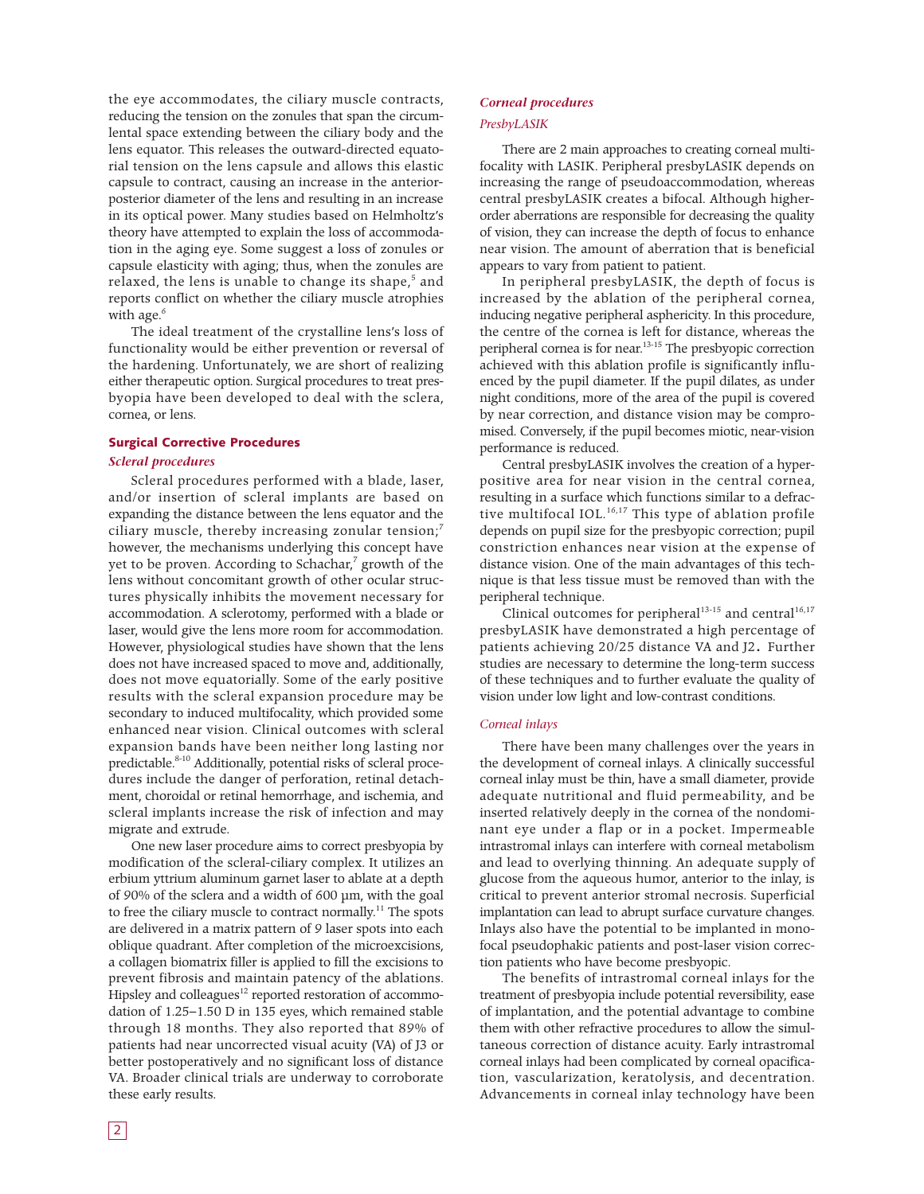the eye accommodates, the ciliary muscle contracts, reducing the tension on the zonules that span the circumlental space extending between the ciliary body and the lens equator. This releases the outward-directed equatorial tension on the lens capsule and allows this elastic capsule to contract, causing an increase in the anteriorposterior diameter of the lens and resulting in an increase in its optical power. Many studies based on Helmholtz's theory have attempted to explain the loss of accommodation in the aging eye. Some suggest a loss of zonules or capsule elasticity with aging; thus, when the zonules are relaxed, the lens is unable to change its shape, <sup>5</sup> and reports conflict on whether the ciliary muscle atrophies with age. 6

The ideal treatment of the crystalline lens's loss of functionality would be either prevention or reversal of the hardening. Unfortunately, we are short of realizing either therapeutic option. Surgical procedures to treat presbyopia have been developed to deal with the sclera, cornea, or lens.

#### **Surgical Corrective Procedures**

#### *Scleral procedures*

Scleral procedures performed with a blade, laser, and/or insertion of scleral implants are based on expanding the distance between the lens equator and the ciliary muscle, thereby increasing zonular tension; $^7$ however, the mechanisms underlying this concept have yet to be proven. According to Schachar, <sup>7</sup> growth of the lens without concomitant growth of other ocular structures physically inhibits the movement necessary for accommodation. A sclerotomy, performed with a blade or laser, would give the lens more room for accommodation. However, physiological studies have shown that the lens does not have increased spaced to move and, additionally, does not move equatorially. Some of the early positive results with the scleral expansion procedure may be secondary to induced multifocality, which provided some enhanced near vision. Clinical outcomes with scleral expansion bands have been neither long lasting nor predictable. 8-10 Additionally, potential risks of scleral procedures include the danger of perforation, retinal detachment, choroidal or retinal hemorrhage, and ischemia, and scleral implants increase the risk of infection and may migrate and extrude.

One new laser procedure aims to correct presbyopia by modification of the scleral-ciliary complex. It utilizes an erbium yttrium aluminum garnet laser to ablate at a depth of 90% of the sclera and a width of 600 µm, with the goal to free the ciliary muscle to contract normally.<sup>11</sup> The spots are delivered in a matrix pattern of 9 laser spots into each oblique quadrant. After completion of the microexcisions, a collagen biomatrix filler is applied to fill the excisions to prevent fibrosis and maintain patency of the ablations. Hipsley and colleagues<sup>12</sup> reported restoration of accommodation of 1.25–1.50 D in 135 eyes, which remained stable through 18 months. They also reported that 89% of patients had near uncorrected visual acuity (VA) of J3 or better postoperatively and no significant loss of distance VA. Broader clinical trials are underway to corroborate these early results.

#### *Corneal procedures*

#### *PresbyLASIK*

There are 2 main approaches to creating corneal multifocality with LASIK. Peripheral presbyLASIK depends on increasing the range of pseudoaccommodation, whereas central presbyLASIK creates a bifocal. Although higherorder aberrations are responsible for decreasing the quality of vision, they can increase the depth of focus to enhance near vision. The amount of aberration that is beneficial appears to vary from patient to patient.

In peripheral presbyLASIK, the depth of focus is increased by the ablation of the peripheral cornea, inducing negative peripheral asphericity. In this procedure, the centre of the cornea is left for distance, whereas the peripheral cornea is for near.<sup>13-15</sup> The presbyopic correction achieved with this ablation profile is significantly influenced by the pupil diameter. If the pupil dilates, as under night conditions, more of the area of the pupil is covered by near correction, and distance vision may be compromised. Conversely, if the pupil becomes miotic, near-vision performance is reduced.

Central presbyLASIK involves the creation of a hyperpositive area for near vision in the central cornea, resulting in a surface which functions similar to a defractive multifocal IOL. 16,17 This type of ablation profile depends on pupil size for the presbyopic correction; pupil constriction enhances near vision at the expense of distance vision. One of the main advantages of this technique is that less tissue must be removed than with the peripheral technique.

Clinical outcomes for peripheral $13-15$  and central  $16,17$ presbyLASIK have demonstrated a high percentage of patients achieving 20/25 distance VA and J2. Further studies are necessary to determine the long-term success of these techniques and to further evaluate the quality of vision under low light and low-contrast conditions.

#### *Corneal inlays*

There have been many challenges over the years in the development of corneal inlays. A clinically successful corneal inlay must be thin, have a small diameter, provide adequate nutritional and fluid permeability, and be inserted relatively deeply in the cornea of the nondominant eye under a flap or in a pocket. Impermeable intrastromal inlays can interfere with corneal metabolism and lead to overlying thinning. An adequate supply of glucose from the aqueous humor, anterior to the inlay, is critical to prevent anterior stromal necrosis. Superficial implantation can lead to abrupt surface curvature changes. Inlays also have the potential to be implanted in monofocal pseudophakic patients and post-laser vision correction patients who have become presbyopic.

The benefits of intrastromal corneal inlays for the treatment of presbyopia include potential reversibility, ease of implantation, and the potential advantage to combine them with other refractive procedures to allow the simultaneous correction of distance acuity. Early intrastromal corneal inlays had been complicated by corneal opacification, vascularization, keratolysis, and decentration. Advancements in corneal inlay technology have been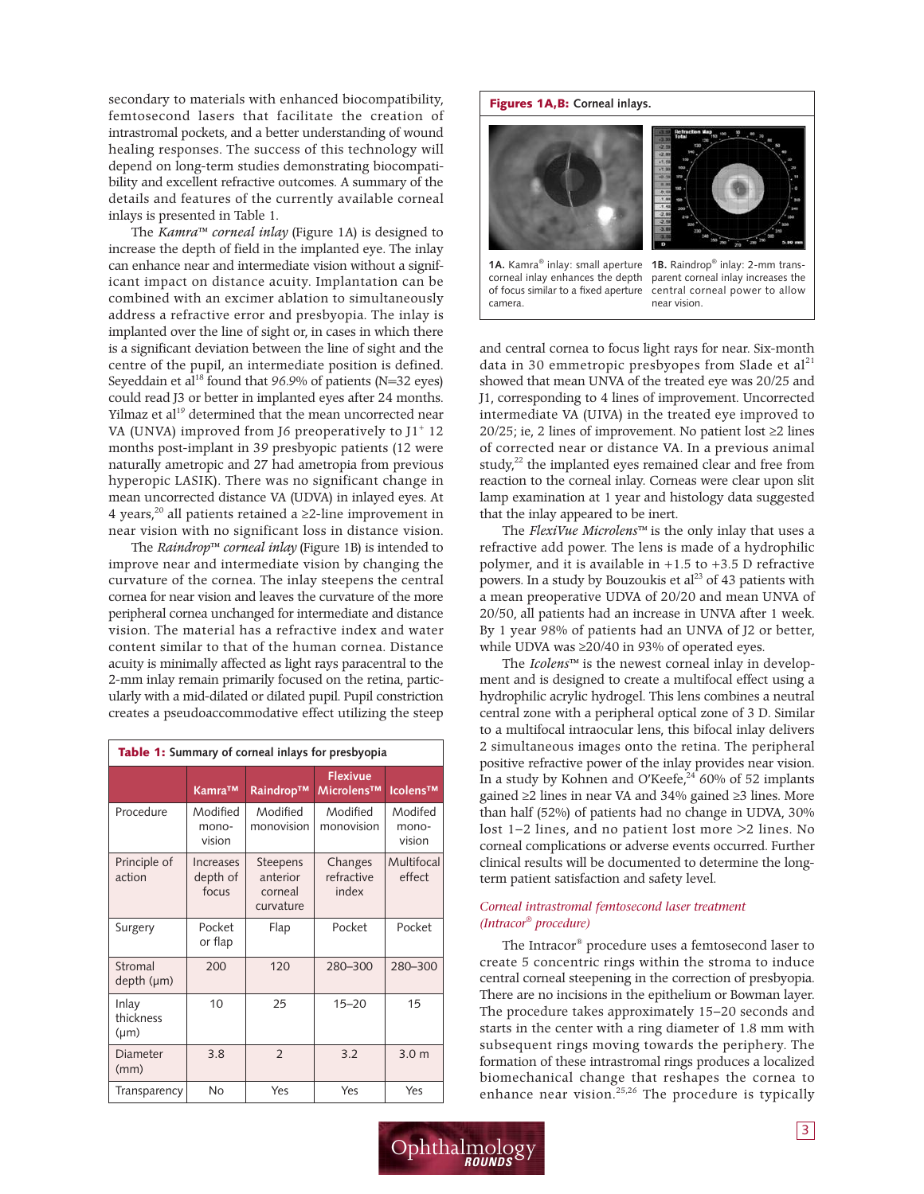secondary to materials with enhanced biocompatibility, femtosecond lasers that facilitate the creation of intrastromal pockets, and a better understanding of wound healing responses. The success of this technology will depend on long-term studies demonstrating biocompatibility and excellent refractive outcomes. A summary of the details and features of the currently available corneal inlays is presented in Table 1.

The *Kamra™ corneal inlay* (Figure 1A) is designed to increase the depth of field in the implanted eye. The inlay can enhance near and intermediate vision without a significant impact on distance acuity. Implantation can be combined with an excimer ablation to simultaneously address a refractive error and presbyopia. The inlay is implanted over the line of sight or, in cases in which there is a significant deviation between the line of sight and the centre of the pupil, an intermediate position is defined. Seyeddain et al $^{18}$  found that 96.9% of patients (N=32 eyes) could read J3 or better in implanted eyes after 24 months. Yilmaz et al<sup>19</sup> determined that the mean uncorrected near VA (UNVA) improved from J6 preoperatively to  $J1^+$  12 months post-implant in 39 presbyopic patients (12 were naturally ametropic and 27 had ametropia from previous hyperopic LASIK). There was no significant change in mean uncorrected distance VA (UDVA) in inlayed eyes. At 4 years, $^{20}$  all patients retained a ≥2-line improvement in near vision with no significant loss in distance vision.

The *Raindrop™ corneal inlay* (Figure 1B) is intended to improve near and intermediate vision by changing the curvature of the cornea. The inlay steepens the central cornea for near vision and leaves the curvature of the more peripheral cornea unchanged for intermediate and distance vision. The material has a refractive index and water content similar to that of the human cornea. Distance acuity is minimally affected as light rays paracentral to the 2-mm inlay remain primarily focused on the retina, particularly with a mid-dilated or dilated pupil. Pupil constriction creates a pseudoaccommodative effect utilizing the steep

| <b>Table 1:</b> Summary of corneal inlays for presbyopia |                                       |                                              |                                |                            |  |  |
|----------------------------------------------------------|---------------------------------------|----------------------------------------------|--------------------------------|----------------------------|--|--|
|                                                          | Kamra™                                | Raindrop™                                    | <b>Flexivue</b><br>Microlens™  | Icolens™                   |  |  |
| Procedure                                                | Modified<br>mono-<br>vision           | Modified<br>monovision                       | Modified<br>monovision         | Modifed<br>mono-<br>vision |  |  |
| Principle of<br>action                                   | <b>Increases</b><br>depth of<br>focus | Steepens<br>anterior<br>corneal<br>curvature | Changes<br>refractive<br>index | Multifocal<br>effect       |  |  |
| Surgery                                                  | Pocket<br>or flap                     | Flap                                         | Pocket                         | Pocket                     |  |  |
| Stromal<br>depth (µm)                                    | 200                                   | 120                                          | 280-300                        | 280-300                    |  |  |
| Inlay<br>thickness<br>$(\mu m)$                          | 10                                    | 25                                           | $15 - 20$                      | 15                         |  |  |
| Diameter<br>(mm)                                         | 3.8                                   | $\mathcal{P}$                                | 3.2                            | 3.0 <sub>m</sub>           |  |  |
| Transparency                                             | <b>No</b>                             | Yes                                          | Yes                            | Yes                        |  |  |



and central cornea to focus light rays for near. Six-month data in 30 emmetropic presbyopes from Slade et al<sup>21</sup> showed that mean UNVA of the treated eye was 20/25 and J1, corresponding to 4 lines of improvement. Uncorrected intermediate VA (UIVA) in the treated eye improved to 20/25; ie, 2 lines of improvement. No patient lost ≥2 lines of corrected near or distance VA. In a previous animal study,<sup>22</sup> the implanted eyes remained clear and free from reaction to the corneal inlay. Corneas were clear upon slit lamp examination at 1 year and histology data suggested that the inlay appeared to be inert.

The *FlexiVue Microlens™* is the only inlay that uses a refractive add power. The lens is made of a hydrophilic polymer, and it is available in +1.5 to +3.5 D refractive powers. In a study by Bouzoukis et al<sup>23</sup> of 43 patients with a mean preoperative UDVA of 20/20 and mean UNVA of 20/50, all patients had an increase in UNVA after 1 week. By 1 year 98% of patients had an UNVA of J2 or better, while UDVA was ≥20/40 in 93% of operated eyes.

The *Icolens™* is the newest corneal inlay in development and is designed to create a multifocal effect using a hydrophilic acrylic hydrogel. This lens combines a neutral central zone with a peripheral optical zone of 3 D. Similar to a multifocal intraocular lens, this bifocal inlay delivers 2 simultaneous images onto the retina. The peripheral positive refractive power of the inlay provides near vision. In a study by Kohnen and O'Keefe, <sup>24</sup> 60% of 52 implants gained ≥2 lines in near VA and 34% gained ≥3 lines. More than half (52%) of patients had no change in UDVA, 30% lost 1–2 lines, and no patient lost more >2 lines. No corneal complications or adverse events occurred. Further clinical results will be documented to determine the longterm patient satisfaction and safety level.

#### *Corneal intrastromal femtosecond laser treatment (Intracor ® procedure)*

The Intracor ® procedure uses a femtosecond laser to create 5 concentric rings within the stroma to induce central corneal steepening in the correction of presbyopia. There are no incisions in the epithelium or Bowman layer. The procedure takes approximately 15–20 seconds and starts in the center with a ring diameter of 1.8 mm with subsequent rings moving towards the periphery. The formation of these intrastromal rings produces a localized biomechanical change that reshapes the cornea to enhance near vision. 25,26 The procedure is typically

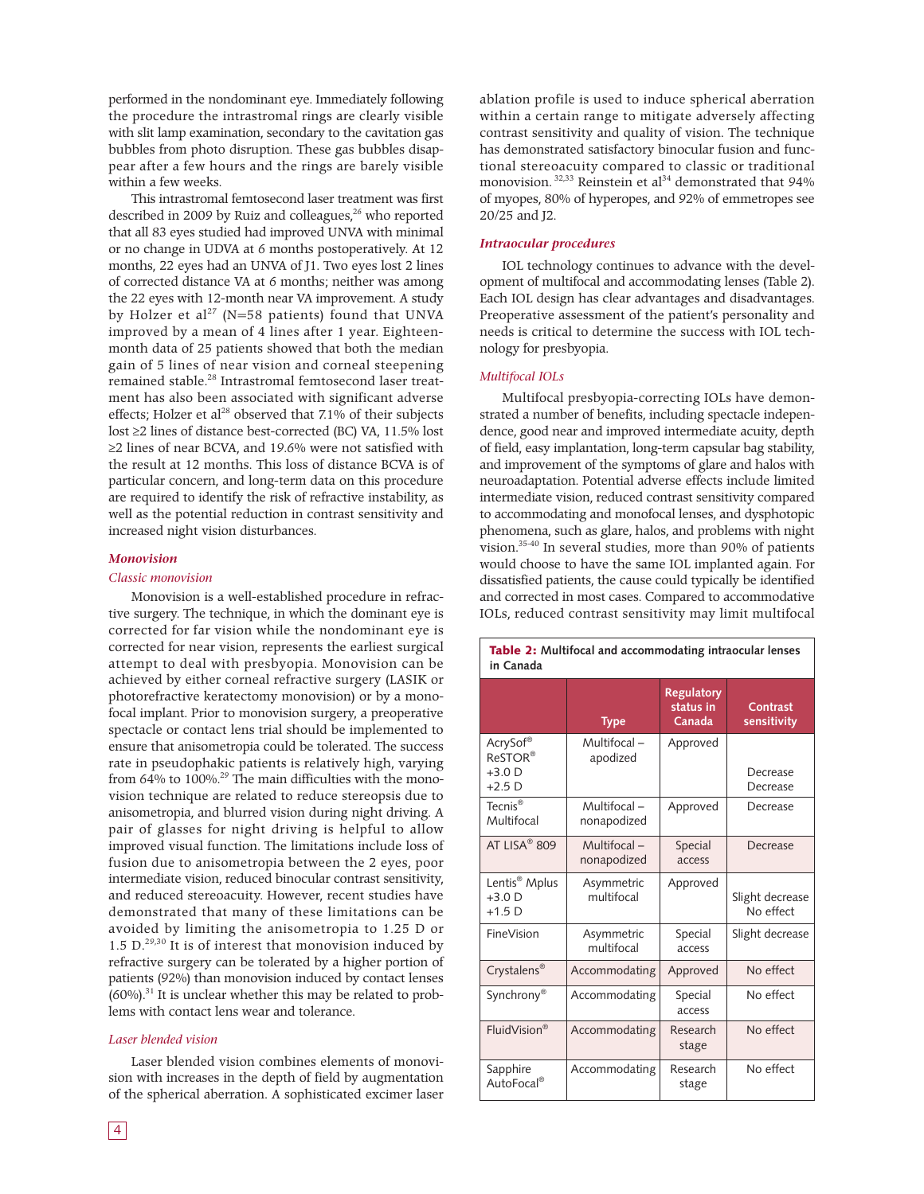performed in the nondominant eye. Immediately following the procedure the intrastromal rings are clearly visible with slit lamp examination, secondary to the cavitation gas bubbles from photo disruption. These gas bubbles disappear after a few hours and the rings are barely visible within a few weeks.

This intrastromal femtosecond laser treatment was first described in 2009 by Ruiz and colleagues, <sup>26</sup> who reported that all 83 eyes studied had improved UNVA with minimal or no change in UDVA at 6 months postoperatively. At 12 months, 22 eyes had an UNVA of J1. Two eyes lost 2 lines of corrected distance VA at 6 months; neither was among the 22 eyes with 12-month near VA improvement. A study by Holzer et al $^{27}$  (N=58 patients) found that UNVA improved by a mean of 4 lines after 1 year. Eighteenmonth data of 25 patients showed that both the median gain of 5 lines of near vision and corneal steepening remained stable. <sup>28</sup> Intrastromal femtosecond laser treatment has also been associated with significant adverse effects; Holzer et al<sup>28</sup> observed that 7.1% of their subjects lost ≥2 lines of distance best-corrected (BC) VA, 11.5% lost ≥2 lines of near BCVA, and 19.6% were not satisfied with the result at 12 months. This loss of distance BCVA is of particular concern, and long-term data on this procedure are required to identify the risk of refractive instability, as well as the potential reduction in contrast sensitivity and increased night vision disturbances.

#### *Monovision*

#### *Classic monovision*

Monovision is a well-established procedure in refractive surgery. The technique, in which the dominant eye is corrected for far vision while the nondominant eye is corrected for near vision, represents the earliest surgical attempt to deal with presbyopia. Monovision can be achieved by either corneal refractive surgery (LASIK or photorefractive keratectomy monovision) or by a monofocal implant. Prior to monovision surgery, a preoperative spectacle or contact lens trial should be implemented to ensure that anisometropia could be tolerated. The success rate in pseudophakic patients is relatively high, varying from 64% to 100%.<sup>29</sup> The main difficulties with the monovision technique are related to reduce stereopsis due to anisometropia, and blurred vision during night driving. A pair of glasses for night driving is helpful to allow improved visual function. The limitations include loss of fusion due to anisometropia between the 2 eyes, poor intermediate vision, reduced binocular contrast sensitivity, and reduced stereoacuity. However, recent studies have demonstrated that many of these limitations can be avoided by limiting the anisometropia to 1.25 D or 1.5  $D^{29,30}$  It is of interest that monovision induced by refractive surgery can be tolerated by a higher portion of patients (92%) than monovision induced by contact lenses  $(60%)$ .<sup>31</sup> It is unclear whether this may be related to problems with contact lens wear and tolerance.

#### *Laser blended vision*

Laser blended vision combines elements of monovision with increases in the depth of field by augmentation of the spherical aberration. A sophisticated excimer laser

ablation profile is used to induce spherical aberration within a certain range to mitigate adversely affecting contrast sensitivity and quality of vision. The technique has demonstrated satisfactory binocular fusion and functional stereoacuity compared to classic or traditional monovision. <sup>32,33</sup> Reinstein et al<sup>34</sup> demonstrated that 94% of myopes, 80% of hyperopes, and 92% of emmetropes see 20/25 and J2.

#### *Intraocular procedures*

IOL technology continues to advance with the development of multifocal and accommodating lenses (Table 2). Each IOL design has clear advantages and disadvantages. Preoperative assessment of the patient's personality and needs is critical to determine the success with IOL technology for presbyopia.

#### *Multifocal IOLs*

Multifocal presbyopia-correcting IOLs have demonstrated a number of benefits, including spectacle independence, good near and improved intermediate acuity, depth of field, easy implantation, long-term capsular bag stability, and improvement of the symptoms of glare and halos with neuroadaptation. Potential adverse effects include limited intermediate vision, reduced contrast sensitivity compared to accommodating and monofocal lenses, and dysphotopic phenomena, such as glare, halos, and problems with night vision. 35-40 In several studies, more than 90% of patients would choose to have the same IOL implanted again. For dissatisfied patients, the cause could typically be identified and corrected in most cases. Compared to accommodative IOLs, reduced contrast sensitivity may limit multifocal

| Table 2: Multifocal and accommodating intraocular lenses<br>in Canada |                             |                                          |                              |  |  |
|-----------------------------------------------------------------------|-----------------------------|------------------------------------------|------------------------------|--|--|
|                                                                       | <b>Type</b>                 | <b>Regulatory</b><br>status in<br>Canada | Contrast<br>sensitivity      |  |  |
| AcrySof®<br>ReSTOR®<br>$+3.0$ D<br>$+2.5$ D                           | Multifocal-<br>apodized     | Approved                                 | Decrease<br>Decrease         |  |  |
| Tecnis <sup>®</sup><br>Multifocal                                     | Multifocal -<br>nonapodized | Approved                                 | Decrease                     |  |  |
| AT LISA <sup>®</sup> 809                                              | Multifocal -<br>nonapodized | Special<br>access                        | Decrease                     |  |  |
| Lentis <sup>®</sup> Mplus<br>$+3.0$ D<br>$+1.5$ D                     | Asymmetric<br>multifocal    | Approved                                 | Slight decrease<br>No effect |  |  |
| FineVision                                                            | Asymmetric<br>multifocal    | Special<br>access                        | Slight decrease              |  |  |
| Crystalens <sup>®</sup>                                               | Accommodating               | Approved                                 | No effect                    |  |  |
| Synchrony <sup>®</sup>                                                | Accommodating               | Special<br>access                        | No effect                    |  |  |
| FluidVision®                                                          | Accommodating               | Research<br>stage                        | No effect                    |  |  |
| Sapphire<br>AutoFocal <sup>®</sup>                                    | Accommodating               | Research<br>stage                        | No effect                    |  |  |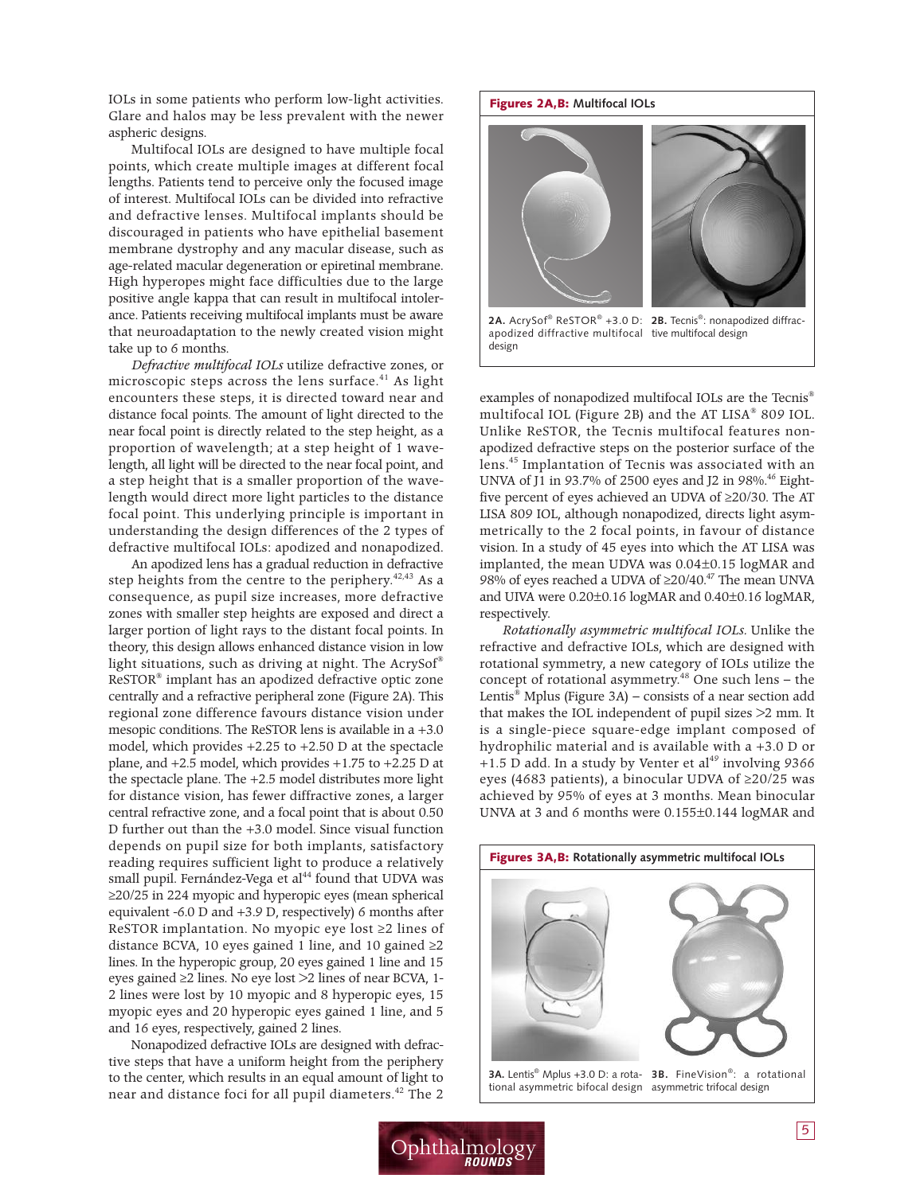IOLs in some patients who perform low-light activities. Glare and halos may be less prevalent with the newer aspheric designs.

Multifocal IOLs are designed to have multiple focal points, which create multiple images at different focal lengths. Patients tend to perceive only the focused image of interest. Multifocal IOLs can be divided into refractive and defractive lenses. Multifocal implants should be discouraged in patients who have epithelial basement membrane dystrophy and any macular disease, such as age-related macular degeneration or epiretinal membrane. High hyperopes might face difficulties due to the large positive angle kappa that can result in multifocal intolerance. Patients receiving multifocal implants must be aware that neuroadaptation to the newly created vision might take up to 6 months.

*Defractive multifocal IOLs* utilize defractive zones, or microscopic steps across the lens surface. <sup>41</sup> As light encounters these steps, it is directed toward near and distance focal points. The amount of light directed to the near focal point is directly related to the step height, as a proportion of wavelength; at a step height of 1 wavelength, all light will be directed to the near focal point, and a step height that is a smaller proportion of the wavelength would direct more light particles to the distance focal point. This underlying principle is important in understanding the design differences of the 2 types of defractive multifocal IOLs: apodized and nonapodized.

An apodized lens has a gradual reduction in defractive step heights from the centre to the periphery.<sup>42,43</sup> As a consequence, as pupil size increases, more defractive zones with smaller step heights are exposed and direct a larger portion of light rays to the distant focal points. In theory, this design allows enhanced distance vision in low light situations, such as driving at night. The AcrySof ® ReSTOR® implant has an apodized defractive optic zone centrally and a refractive peripheral zone (Figure 2A). This regional zone difference favours distance vision under mesopic conditions. The ReSTOR lens is available in a +3.0 model, which provides +2.25 to +2.50 D at the spectacle plane, and +2.5 model, which provides +1.75 to +2.25 D at the spectacle plane. The +2.5 model distributes more light for distance vision, has fewer diffractive zones, a larger central refractive zone, and a focal point that is about 0.50 D further out than the +3.0 model. Since visual function depends on pupil size for both implants, satisfactory reading requires sufficient light to produce a relatively small pupil. Fernández-Vega et al <sup>44</sup> found that UDVA was ≥20/25 in 224 myopic and hyperopic eyes (mean spherical equivalent -6.0 D and +3.9 D, respectively) 6 months after ReSTOR implantation. No myopic eye lost ≥2 lines of distance BCVA, 10 eyes gained 1 line, and 10 gained  $\geq$ 2 lines. In the hyperopic group, 20 eyes gained 1 line and 15 eyes gained ≥2 lines. No eye lost >2 lines of near BCVA, 1- 2 lines were lost by 10 myopic and 8 hyperopic eyes, 15 myopic eyes and 20 hyperopic eyes gained 1 line, and 5 and 16 eyes, respectively, gained 2 lines.

Nonapodized defractive IOLs are designed with defractive steps that have a uniform height from the periphery to the center, which results in an equal amount of light to near and distance foci for all pupil diameters. <sup>42</sup> The 2



examples of nonapodized multifocal IOLs are the Tecnis ® multifocal IOL (Figure 2B) and the AT LISA® 809 IOL. Unlike ReSTOR, the Tecnis multifocal features nonapodized defractive steps on the posterior surface of the lens. <sup>45</sup> Implantation of Tecnis was associated with an UNVA of J1 in 93.7% of 2500 eyes and J2 in 98%. <sup>46</sup> Eightfive percent of eyes achieved an UDVA of ≥20/30. The AT LISA 809 IOL, although nonapodized, directs light asymmetrically to the 2 focal points, in favour of distance vision. In a study of 45 eyes into which the AT LISA was implanted, the mean UDVA was 0.04±0.15 logMAR and 98% of eyes reached a UDVA of ≥20/40.<sup>47</sup> The mean UNVA and UIVA were 0.20±0.16 logMAR and 0.40±0.16 logMAR, respectively.

*Rotationally asymmetric multifocal IOLs.* Unlike the refractive and defractive IOLs, which are designed with rotational symmetry, a new category of IOLs utilize the concept of rotational asymmetry. <sup>48</sup> One such lens – the Lentis ® Mplus (Figure 3A) – consists of a near section add that makes the IOL independent of pupil sizes >2 mm. It is a single-piece square-edge implant composed of hydrophilic material and is available with a +3.0 D or +1.5 D add. In a study by Venter et al <sup>49</sup> involving 9366 eyes (4683 patients), a binocular UDVA of ≥20/25 was achieved by 95% of eyes at 3 months. Mean binocular UNVA at 3 and 6 months were 0.155±0.144 logMAR and



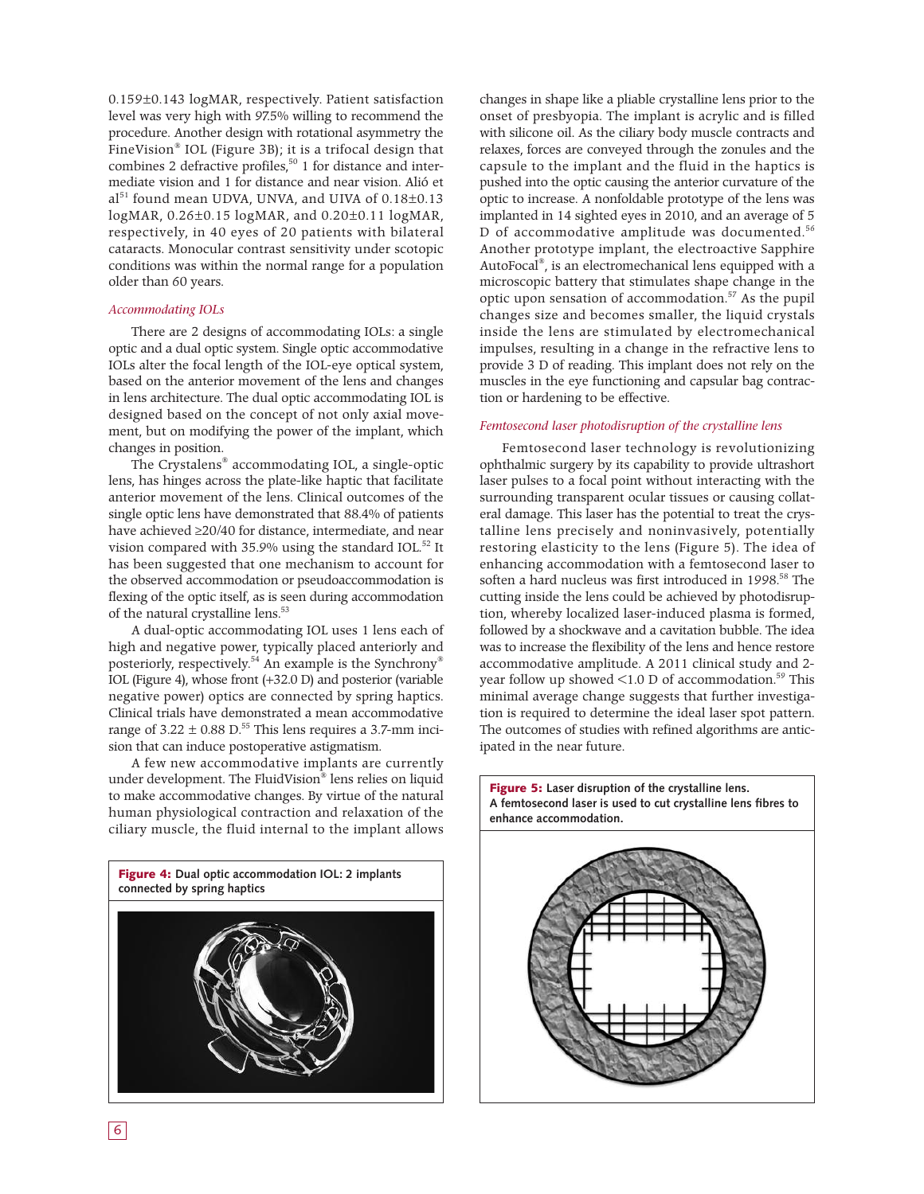0.159±0.143 logMAR, respectively. Patient satisfaction level was very high with 97.5% willing to recommend the procedure. Another design with rotational asymmetry the FineVision® IOL (Figure 3B); it is a trifocal design that combines 2 defractive profiles, <sup>50</sup> 1 for distance and intermediate vision and 1 for distance and near vision. Alió et al <sup>51</sup> found mean UDVA, UNVA, and UIVA of 0.18±0.13 logMAR, 0.26±0.15 logMAR, and 0.20±0.11 logMAR, respectively, in 40 eyes of 20 patients with bilateral cataracts. Monocular contrast sensitivity under scotopic conditions was within the normal range for a population older than 60 years.

#### *Accommodating IOLs*

There are 2 designs of accommodating IOLs: a single optic and a dual optic system. Single optic accommodative IOLs alter the focal length of the IOL-eye optical system, based on the anterior movement of the lens and changes in lens architecture. The dual optic accommodating IOL is designed based on the concept of not only axial movement, but on modifying the power of the implant, which changes in position.

The Crystalens® accommodating IOL, a single-optic lens, has hinges across the plate-like haptic that facilitate anterior movement of the lens. Clinical outcomes of the single optic lens have demonstrated that 88.4% of patients have achieved ≥20/40 for distance, intermediate, and near vision compared with 35.9% using the standard IOL.<sup>52</sup> It has been suggested that one mechanism to account for the observed accommodation or pseudoaccommodation is flexing of the optic itself, as is seen during accommodation of the natural crystalline lens. 53

A dual-optic accommodating IOL uses 1 lens each of high and negative power, typically placed anteriorly and posteriorly, respectively. <sup>54</sup> An example is the Synchrony® IOL (Figure 4), whose front (+32.0 D) and posterior (variable negative power) optics are connected by spring haptics. Clinical trials have demonstrated a mean accommodative range of  $3.22 \pm 0.88$  D.<sup>55</sup> This lens requires a 3.7-mm incision that can induce postoperative astigmatism.

A few new accommodative implants are currently under development. The FluidVision® lens relies on liquid to make accommodative changes. By virtue of the natural human physiological contraction and relaxation of the ciliary muscle, the fluid internal to the implant allows



changes in shape like a pliable crystalline lens prior to the onset of presbyopia. The implant is acrylic and is filled with silicone oil. As the ciliary body muscle contracts and relaxes, forces are conveyed through the zonules and the capsule to the implant and the fluid in the haptics is pushed into the optic causing the anterior curvature of the optic to increase. A nonfoldable prototype of the lens was implanted in 14 sighted eyes in 2010, and an average of 5 D of accommodative amplitude was documented. 56 Another prototype implant, the electroactive Sapphire AutoFocal ®, is an electromechanical lens equipped with a microscopic battery that stimulates shape change in the optic upon sensation of accommodation. <sup>57</sup> As the pupil changes size and becomes smaller, the liquid crystals inside the lens are stimulated by electromechanical impulses, resulting in a change in the refractive lens to provide 3 D of reading. This implant does not rely on the muscles in the eye functioning and capsular bag contraction or hardening to be effective.

#### *Femtosecond laser photodisruption of the crystalline lens*

Femtosecond laser technology is revolutionizing ophthalmic surgery by its capability to provide ultrashort laser pulses to a focal point without interacting with the surrounding transparent ocular tissues or causing collateral damage. This laser has the potential to treat the crystalline lens precisely and noninvasively, potentially restoring elasticity to the lens (Figure 5). The idea of enhancing accommodation with a femtosecond laser to soften a hard nucleus was first introduced in 1998. <sup>58</sup> The cutting inside the lens could be achieved by photodisruption, whereby localized laser-induced plasma is formed, followed by a shockwave and a cavitation bubble. The idea was to increase the flexibility of the lens and hence restore accommodative amplitude. A 2011 clinical study and 2 year follow up showed <1.0 D of accommodation. <sup>59</sup> This minimal average change suggests that further investigation is required to determine the ideal laser spot pattern. The outcomes of studies with refined algorithms are anticipated in the near future.



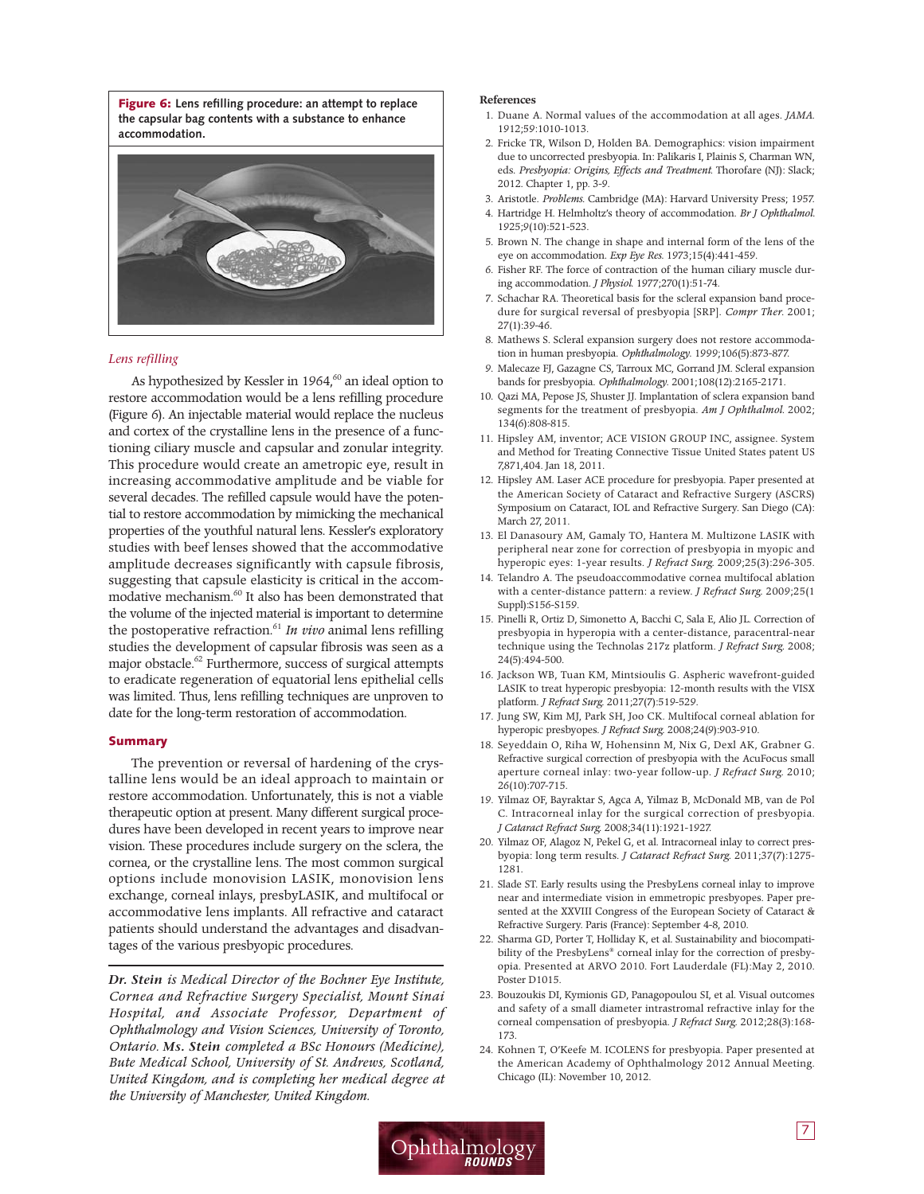**Figure 6: Lens refilling procedure: an attempt to replace the capsular bag contents with a substance to enhance accommodation.**



#### *Lens refilling*

As hypothesized by Kessler in 1964, <sup>60</sup> an ideal option to restore accommodation would be a lens refilling procedure (Figure 6). An injectable material would replace the nucleus and cortex of the crystalline lens in the presence of a functioning ciliary muscle and capsular and zonular integrity. This procedure would create an ametropic eye, result in increasing accommodative amplitude and be viable for several decades. The refilled capsule would have the potential to restore accommodation by mimicking the mechanical properties of the youthful natural lens. Kessler's exploratory studies with beef lenses showed that the accommodative amplitude decreases significantly with capsule fibrosis, suggesting that capsule elasticity is critical in the accommodative mechanism. <sup>60</sup> It also has been demonstrated that the volume of the injected material is important to determine the postoperative refraction. <sup>61</sup> *In vivo* animal lens refilling studies the development of capsular fibrosis was seen as a major obstacle. <sup>62</sup> Furthermore, success of surgical attempts to eradicate regeneration of equatorial lens epithelial cells was limited. Thus, lens refilling techniques are unproven to date for the long-term restoration of accommodation.

#### **Summary**

The prevention or reversal of hardening of the crystalline lens would be an ideal approach to maintain or restore accommodation. Unfortunately, this is not a viable therapeutic option at present. Many different surgical procedures have been developed in recent years to improve near vision. These procedures include surgery on the sclera, the cornea, or the crystalline lens. The most common surgical options include monovision LASIK, monovision lens exchange, corneal inlays, presbyLASIK, and multifocal or accommodative lens implants. All refractive and cataract patients should understand the advantages and disadvantages of the various presbyopic procedures.

*Dr. Stein is Medical Director of the Bochner Eye Institute, Cornea and Refractive Surgery Specialist, Mount Sinai Hospital, and Associate Professor, Department of Ophthalmology and Vision Sciences, University of Toronto, Ontario. Ms. Stein completed a BSc Honours (Medicine), Bute Medical School, University of St. Andrews, Scotland, United Kingdom, and is completing her medical degree at the University of Manchester, United Kingdom.*

#### **References**

- 1. Duane A. Normal values of the accommodation at all ages. *JAMA*. 1912;59:1010-1013.
- 2. Fricke TR, Wilson D, Holden BA. Demographics: vision impairment due to uncorrected presbyopia. In: Palikaris I, Plainis S, Charman WN, eds. *Presbyopia: Origins, Effects and Treatment*. Thorofare (NJ): Slack; 2012. Chapter 1, pp. 3-9.
- 3. Aristotle. *Problems*. Cambridge (MA): Harvard University Press; 1957.
- 4. Hartridge H. Helmholtz's theory of accommodation. *Br J Ophthalmol.* 1925;9(10):521-523.
- 5. Brown N. The change in shape and internal form of the lens of the eye on accommodation. *Exp Eye Res*. 1973;15(4):441-459.
- 6. Fisher RF. The force of contraction of the human ciliary muscle during accommodation. *J Physiol*. 1977;270(1):51-74.
- 7. Schachar RA. Theoretical basis for the scleral expansion band procedure for surgical reversal of presbyopia [SRP]. *Compr Ther*. 2001; 27(1):39-46.
- 8. Mathews S. Scleral expansion surgery does not restore accommodation in human presbyopia. *Ophthalmology*. 1999;106(5):873-877.
- 9. Malecaze FJ, Gazagne CS, Tarroux MC, Gorrand JM. Scleral expansion bands for presbyopia. *Ophthalmology*. 2001;108(12):2165-2171.
- 10. Qazi MA, Pepose JS, Shuster JJ. Implantation of sclera expansion band segments for the treatment of presbyopia. *Am J Ophthalmol*. 2002; 134(6):808-815.
- 11. Hipsley AM, inventor; ACE VISION GROUP INC, assignee. System and Method for Treating Connective Tissue United States patent US 7,871,404. Jan 18, 2011.
- 12. Hipsley AM. Laser ACE procedure for presbyopia. Paper presented at the American Society of Cataract and Refractive Surgery (ASCRS) Symposium on Cataract, IOL and Refractive Surgery. San Diego (CA): March 27, 2011.
- 13. El Danasoury AM, Gamaly TO, Hantera M. Multizone LASIK with peripheral near zone for correction of presbyopia in myopic and hyperopic eyes: 1-year results. *J Refract Surg*. 2009;25(3):296-305.
- 14. Telandro A. The pseudoaccommodative cornea multifocal ablation with a center-distance pattern: a review. *J Refract Surg*. 2009;25(1 Suppl):S156-S159.
- 15. Pinelli R, Ortiz D, Simonetto A, Bacchi C, Sala E, Alio JL. Correction of presbyopia in hyperopia with a center-distance, paracentral-near technique using the Technolas 217z platform. *J Refract Surg*. 2008; 24(5):494-500.
- 16. Jackson WB, Tuan KM, Mintsioulis G. Aspheric wavefront-guided LASIK to treat hyperopic presbyopia: 12-month results with the VISX platform. *J Refract Surg*. 2011;27(7):519-529.
- 17. Jung SW, Kim MJ, Park SH, Joo CK. Multifocal corneal ablation for hyperopic presbyopes. *J Refract Surg*. 2008;24(9):903-910.
- 18. Seyeddain O, Riha W, Hohensinn M, Nix G, Dexl AK, Grabner G. Refractive surgical correction of presbyopia with the AcuFocus small aperture corneal inlay: two-year follow-up. *J Refract Surg*. 2010; 26(10):707-715.
- 19. Yilmaz OF, Bayraktar S, Agca A, Yilmaz B, McDonald MB, van de Pol C. Intracorneal inlay for the surgical correction of presbyopia. *J Cataract Refract Surg*. 2008;34(11):1921-1927.
- 20. Yilmaz OF, Alagoz N, Pekel G, et al. Intracorneal inlay to correct presbyopia: long term results. *J Cataract Refract Surg*. 2011;37(7):1275- 1281.
- 21. Slade ST. Early results using the PresbyLens corneal inlay to improve near and intermediate vision in emmetropic presbyopes. Paper presented at the XXVIII Congress of the European Society of Cataract & Refractive Surgery. Paris (France): September 4-8, 2010.
- 22. Sharma GD, Porter T, Holliday K, et al. Sustainability and biocompatibility of the PresbyLens® corneal inlay for the correction of presbyopia. Presented at ARVO 2010. Fort Lauderdale (FL):May 2, 2010. Poster D1015.
- 23. Bouzoukis DI, Kymionis GD, Panagopoulou SI, et al. Visual outcomes and safety of a small diameter intrastromal refractive inlay for the corneal compensation of presbyopia. *J Refract Surg*. 2012;28(3):168- 173.
- 24. Kohnen T, O'Keefe M. ICOLENS for presbyopia. Paper presented at the American Academy of Ophthalmology 2012 Annual Meeting. Chicago (IL): November 10, 2012.